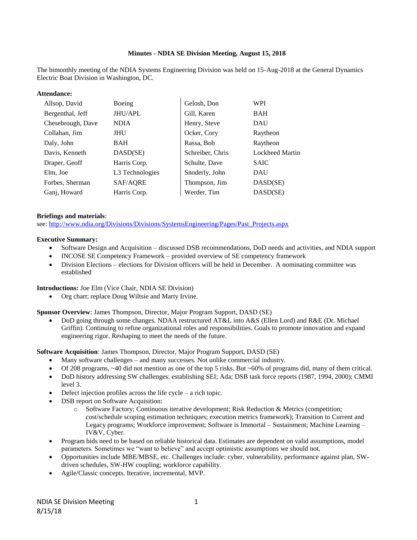## **Minutes - NDIA SE Division Meeting, August 15, 2018**

The bimonthly meeting of the NDIA Systems Engineering Division was held on 15-Aug-2018 at the General Dynamics Electric Boat Division in Washington, DC.

#### **Attendance:**

| Allsop, David     | Boeing          | Gelosh, Don      | WPI             |
|-------------------|-----------------|------------------|-----------------|
| Bergenthal, Jeff  | JHU/APL         | Gill, Karen      | BAH             |
| Chesebrough, Dave | <b>NDIA</b>     | Henry, Steve     | DAU             |
| Collahan, Jim     | JHU             | Ocker, Cory      | Raytheon        |
| Daly, John        | BAH             | Rassa, Bob       | Raytheon        |
| Davis, Kenneth    | DASD(SE)        | Schreiber, Chris | Lockheed Martin |
| Draper, Geoff     | Harris Corp.    | Schulte, Dave    | <b>SAIC</b>     |
| Elm, Joe          | L3 Technologies | Snoderly, John   | DAU             |
| Forbes, Sherman   | SAF/AQRE        | Thompson, Jim    | DASD(SE)        |
| Ganj, Howard      | Harris Corp.    | Werder, Tim      | DASD(SE)        |

#### **Briefings and materials**:

see: [http://www.ndia.org/Divisions/Divisions/SystemsEngineering/Pages/Past\\_Projects.aspx](http://www.ndia.org/Divisions/Divisions/SystemsEngineering/Pages/Past_Projects.aspx)

#### **Executive Summary:**

- Software Design and Acquisition discussed DSB recommendations, DoD needs and activities, and NDIA support
- INCOSE SE Competency Framework provided overview of SE competency framework
- Division Elections elections for Division officers will be held in December. A nominating committee was established

**Introductions:** Joe Elm (Vice Chair, NDIA SE Division)

Org chart: replace Doug Wiltsie and Marty Irvine.

**Sponsor Overview**: James Thompson, Director, Major Program Support, DASD (SE)

 DoD going through some changes. NDAA restructured AT&L into A&S (Ellen Lord) and R&E (Dr. Michael Griffin). Continuing to refine organizational roles and responsibilities. Goals to promote innovation and expand engineering rigor. Reshaping to meet the needs of the future.

**Software Acquisition**: James Thompson, Director, Major Program Support, DASD (SE)

- Many software challenges and many successes. Not unlike commercial industry.
- Of 208 programs, ~40 did not mention as one of the top 5 risks. But ~60% of programs did, many of them critical.
- DoD history addressing SW challenges: establishing SEI; Ada; DSB task force reports (1987, 1994, 2000); CMMI level 3.
- Defect injection profiles across the life cycle a rich topic.
- DSB report on Software Acquisition:
	- o Software Factory; Continuous iterative development; Risk Reduction & Metrics (competition; cost/schedule scoping estimation techniques; execution metrics framework); Transition to Current and Legacy programs; Workforce improvement; Software is Immortal – Sustainment; Machine Learning – IV&V, Cyber.
- Program bids need to be based on reliable historical data. Estimates are dependent on valid assumptions, model parameters. Sometimes we "want to believe" and accept optimistic assumptions we should not.
- Opportunities include MBE/MBSE, etc. Challenges include: cyber, vulnerability, performance against plan, SWdriven schedules, SW-HW coupling; workforce capability.
- Agile/Classic concepts. Iterative, incremental, MVP.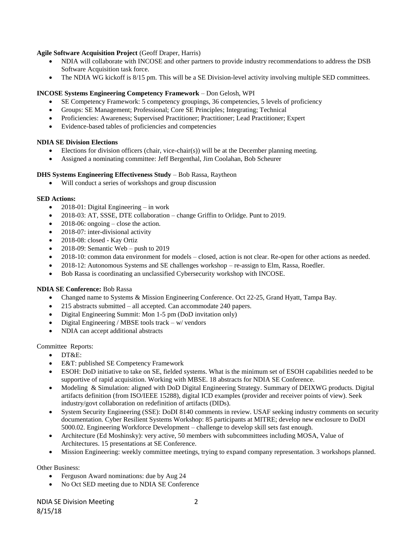# **Agile Software Acquisition Project** (Geoff Draper, Harris)

- NDIA will collaborate with INCOSE and other partners to provide industry recommendations to address the DSB Software Acquisition task force.
- The NDIA WG kickoff is 8/15 pm. This will be a SE Division-level activity involving multiple SED committees.

# **INCOSE Systems Engineering Competency Framework** – Don Gelosh, WPI

- SE Competency Framework: 5 competency groupings, 36 competencies, 5 levels of proficiency
- Groups: SE Management; Professional; Core SE Principles; Integrating; Technical
- Proficiencies: Awareness; Supervised Practitioner; Practitioner; Lead Practitioner; Expert
- Evidence-based tables of proficiencies and competencies

## **NDIA SE Division Elections**

- Elections for division officers (chair, vice-chair(s)) will be at the December planning meeting.
- Assigned a nominating committee: Jeff Bergenthal, Jim Coolahan, Bob Scheurer

## **DHS Systems Engineering Effectiveness Study** – Bob Rassa, Raytheon

Will conduct a series of workshops and group discussion

## **SED Actions:**

- 2018-01: Digital Engineering in work
- 2018-03: AT, SSSE, DTE collaboration change Griffin to Orlidge. Punt to 2019.
- 2018-06: ongoing close the action.
- 2018-07: inter-divisional activity
- 2018-08: closed Kay Ortiz
- 2018-09: Semantic Web push to 2019
- 2018-10: common data environment for models closed, action is not clear. Re-open for other actions as needed.
- 2018-12: Autonomous Systems and SE challenges workshop re-assign to Elm, Rassa, Roedler.
- Bob Rassa is coordinating an unclassified Cybersecurity workshop with INCOSE.

## **NDIA SE Conference:** Bob Rassa

- Changed name to Systems & Mission Engineering Conference. Oct 22-25, Grand Hyatt, Tampa Bay.
- 215 abstracts submitted all accepted. Can accommodate 240 papers.
- Digital Engineering Summit: Mon 1-5 pm (DoD invitation only)
- Digital Engineering / MBSE tools track w/ vendors
- NDIA can accept additional abstracts

## Committee Reports:

- DT&E:
- E&T: published SE Competency Framework
- ESOH: DoD initiative to take on SE, fielded systems. What is the minimum set of ESOH capabilities needed to be supportive of rapid acquisition. Working with MBSE. 18 abstracts for NDIA SE Conference.
- Modeling & Simulation: aligned with DoD Digital Engineering Strategy. Summary of DEIXWG products. Digital artifacts definition (from ISO/IEEE 15288), digital ICD examples (provider and receiver points of view). Seek industry/govt collaboration on redefinition of artifacts (DIDs).
- System Security Engineering (SSE): DoDI 8140 comments in review. USAF seeking industry comments on security documentation. Cyber Resilient Systems Workshop: 85 participants at MITRE; develop new enclosure to DoDI 5000.02. Engineering Workforce Development – challenge to develop skill sets fast enough.
- Architecture (Ed Moshinsky): very active, 50 members with subcommittees including MOSA, Value of Architectures. 15 presentations at SE Conference.
- Mission Engineering: weekly committee meetings, trying to expand company representation. 3 workshops planned.

Other Business:

- Ferguson Award nominations: due by Aug 24
- No Oct SED meeting due to NDIA SE Conference